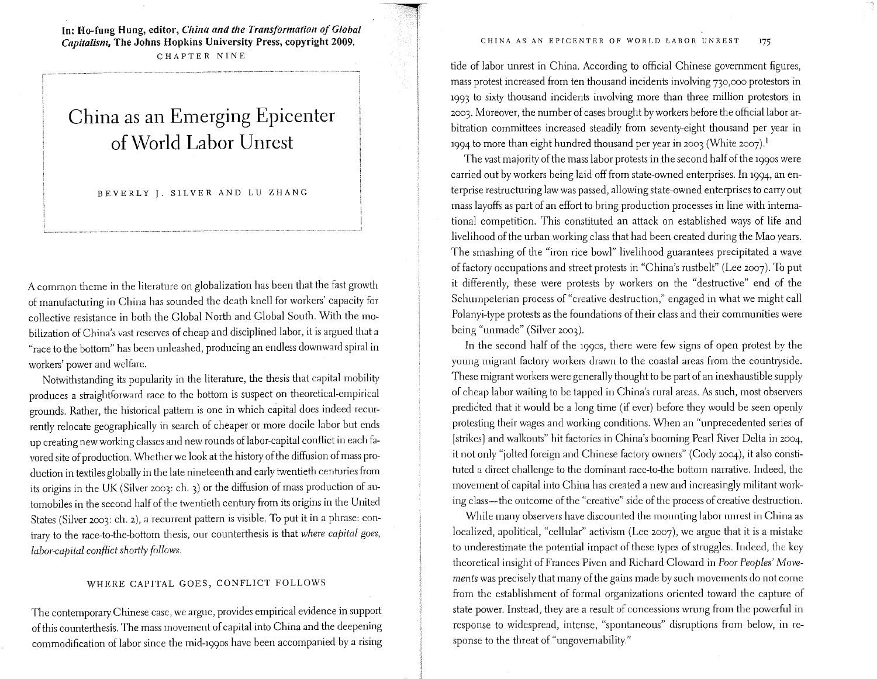**In: Ho-fung Hung, editor,** *China and the Transformation of Global Capitalism,* **The Johns Hopkins University Press, copyright 2009.**  CHAPTER NINE

# **China as an Emerging Epicenter of World Labor Unrest**

BEVERLY J. SILVER AND LU ZHANG

A common theme in the literature on globalization has been that the fast growth of manufacturing in China has sounded the death knell for workers' capacity for collective resistance in both the Global North and Global South. With the mobilization of China's vast reserves of cheap and disciplined labor, it is argued that a "race to the bottom" has been unleashed, producing an endless downward spiral in workers' power and welfare.

Notwithstanding its popularity in the literature, the thesis that capital mobility produces a straightforward race to the bottom is suspect on theoretical-empirical grounds. Rather, the historical pattern is one in which capital does indeed recurrently relocate geographically in search of cheaper or more docile labor but ends up creating new working classes and new rounds oflabor-capital conflict in each favored site of production. Whether we look at the history of the diffusion of mass production in textiles globally in the late nineteenth and early twentieth centuries from its origins in the UK (Silver 2003: ch. 3) or the diffusion of mass production of automobiles in the second half of the twentieth century from its origins in the United States (Silver 2003: ch. 2), a recurrent pattern is visible. To put it in a phrase: contrary to the race-to-the-bottom thesis, our counterthesis is that *where capital goes*, *labor-capital confiict shortly follows.* 

# WHERE CAPITAL GOES, CONFLICT FOLLOWS

The contemporary Chinese case, we argue, provides empirical evidence in support of this counterthesis. The mass movement of capital into China and the deepening commodification of labor since the mid-199os have been accompanied by a rising

#### CHINA AS AN EPICENTER OF WORLD LABOR UNREST  $175$

tide of labor unrest in China. According to official Chinese government figures, mass protest increased from ten thousand incidents involving 730,000 protestors in 1993 to sixty thousand incidents involving more than three million protestors in 2003. Moreover, the number of cases brought by workers before the official labor arbitration committees increased steadily from seventy-eight thousand per year in 1994 to more than eight hundred thousand per year in 2003 (White 2007). <sup>1</sup>

The vast majority of the mass labor protests in the second half of the 1990s were carried out by workers being laid off from state-owned enterprises. In 1994, an enterprise restructuring law was passed, allowing state-owned enterprises to carry out mass layoffs as part of an effort to bring production processes in line with international competition. This constituted an attack on established ways of life and livelihood of the urban working class that had been created during the Mao years. The smashing of the "iron rice bowl" livelihood guarantees precipitated a wave of factory occupations and street protests in "China's rustbelt" (Lee 2007). To put it differently, these were protests by workers on the "destructive" end of the Schumpeterian process of "creative destruction," engaged in what we might call Polanyi-type protests as the foundations of their class and their communities were being "unmade" (Silver 2003).

In the second half of the 1990s, there were few signs of open protest by the young migrant factory workers drawn to the coastal areas from the countryside. These migrant workers were generally thought to be part of an inexhaustible supply of cheap labor waiting to be tapped in China's rural areas. As such, most observers predicted that it would be a long time (if ever) before they would be seen openly protesting their wages and working conditions. When an "unprecedented series of [strikes] and walkouts" hit factories in China's booming Pearl River Delta in 2004, it not only "jolted foreign and Chinese factory owners" (Cody 2004), it also constituted a direct challenge to the dominant race-to-the bottom narrative. Indeed, the movement of capital into China has created a new and increasingly militant working class-the outcome of the "creative" side of the process of creative destruction.

While many observers have discounted the mounting labor unrest in China as localized, apolitical, "cellular" activism (Lee 2007), we argue that it is a mistake to underestimate the potential impact of these types of struggles. Indeed, the key theoretical insight of Frances Piven and Richard Cloward in *Poor Peoples' Movements* was precisely that many of the gains made by such movements do not come from the establishment of formal organizations oriented toward the capture of state power. Instead, they are a result of concessions wrung from the powerful in response to widespread, intense, "spontaneous" disruptions from below, in response to the threat of "ungovernability."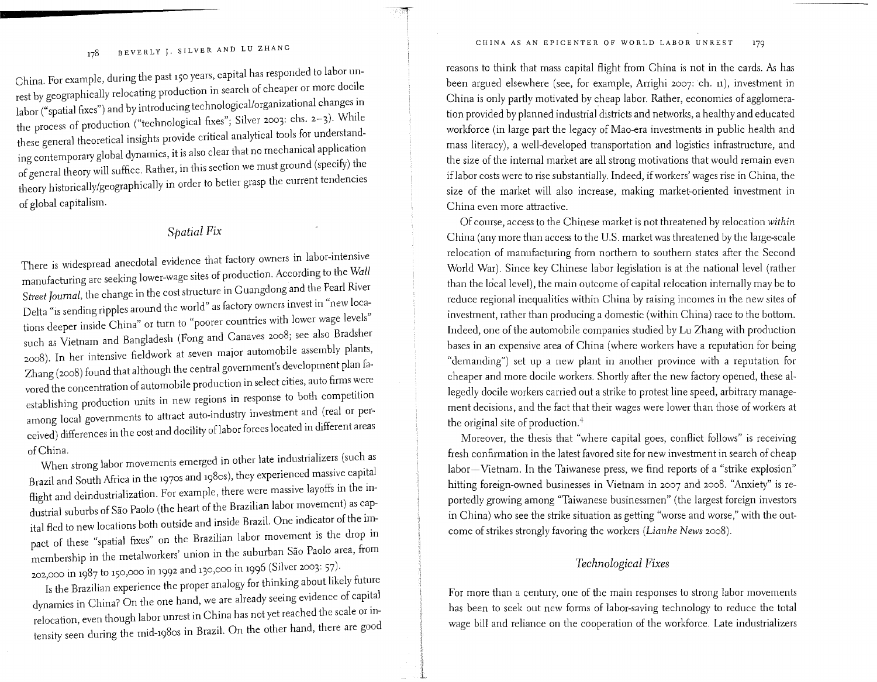## CHINA AS AN EPICENTER OF WORLD LABOR UNREST <sup>1</sup>79

### BEVERLY J. SILVER AND LU ZHANG  $178$

China. For example, during the past i50 years, capital has responded to labor unrest by geographically relocating production in search of cheaper or more docile labor ("spatial fixes") and by introducing technological/organizational changes in the process of production ("technological fixes"; Silver 2003: chs. 2-3). While these general theoretical insights provide critical analytical tools for understanding contemporary global dynamics, it is also clear that no mechanical application of general theory will suffice. Rather, in this section we must ground (specify) the theory historically/geographically in order to better grasp the current tendencies of global capitalism.

# *Spatial Fix*

There is widespread anecdotal evidence that factory owners in labor-intensive manufacturing are seeking lower-wage sites of production. According to the Wall *Street Journal,* the change in the cost structure in Guangdong and the Pearl River Delta "is sendingripples around the world" as factory owners invest in "new locations deeper inside China" or turn to "poorer countries with lower wage levels" such as Vietnam and Bangladesh (Fong and Canaves 2008; see also Bradsher 2008). In her intensive fieldwork at seven major automobile assembly plants, Zhang (2008) found that although the central government's development plan favored the concentration of automobile production in select cities, auto firms were establishing production units in new regions in response to both competition among local governments to attract auto-industry investment and (real or perceived) differences in the cost and docility oflabor forces located in different areas of China.

When strong labor movements emerged in other late industrializers (such as Brazil and South Africa in the i97os and i98os), they experienced massive capital flight and deindustrialization. For example, there were massive layoffs in the industrial suburbs of Sao Paolo (the heart of the Brazilian labor movement) as capital fled to new locations both outside and inside Brazil. One indicator of the impact of these "spatial fixes" on the Brazilian labor movement is the drop in membership in the metalworkers' union in the suburban Sao Paolo area, from 202,000 in 1987 to 150,000 in 1992 and 130,000 in 1996 (Silver 2003: 57).

Is the Brazilian experience the proper analogy for thinking about likely future dynamics in China? On the one hand, we are already seeing evidence of capital relocation, even though labor unrest in China has not yet reached the scale or intensity seen during the mid-198os in Brazil. On the other hand, there are good reasons to think that mass capital flight from China is not in the cards. As has been argued elsewhere (see, for example, Arrighi 2007: ch. 11), investment in China is only partly motivated by cheap labor. Rather, economies of agglomeration provided by planned industrial districts and networks, a healthy and educated workforce (in large part the legacy of Mao-era investments in public health and mass literacy), a well-developed transportation and logistics infrastructure, and the size of the internal market are all strong motivations that would remain even iflabor costs were to rise substantially. Indeed, if workers' wages rise in China, the size of the market will also increase, making market-oriented investment in China even more attractive.

Of course, access to the Chinese market is not threatened by relocation *within*  China (any more than access to the U.S. market was threatened by the large-scale relocation of manufacturing from northern to southern states after the Second World War). Since key Chinese labor legislation is at the national level (rather than the local level), the main outcome of capital relocation internally may be to reduce regional inequalities within China by raising incomes in the new sites of investment, rather than producing a domestic (within China) race to the bottom. Indeed, one of the automobile companies studied by Lu Zhang with production bases in an expensive area of China (where workers have a reputation for being "demanding") set up a new plant in another province with a reputation for cheaper and more docile workers. Shortly after the new factory opened, these allegedly docile workers carried out a strike to protest line speed, arbitrary management decisions, and the fact that their wages were lower than those of workers at the original site of production.<sup>4</sup>

Moreover, the thesis that "where capital goes, conflict follows" is receiving fresh confirmation in the latest favored site for new investment in search of cheap labor-Vietnam. In the Taiwanese press, we find reports of a "strike explosion" hitting foreign-owned businesses in Vietnam in 2007 and 2008. "Anxiety" is reportedly growing among "Taiwanese businessmen" (the largest foreign investors in China) who see the strike situation as getting "worse and worse," with the outcome of strikes strongly favoring the workers *(Lianhe News* 2008).

# *Technological Fixes*

For more than a century, one of the main responses to strong labor movements has been to seek out new forms of labor-saving technology to reduce the total wage bill and reliance on the cooperation of the workforce. Late industrializers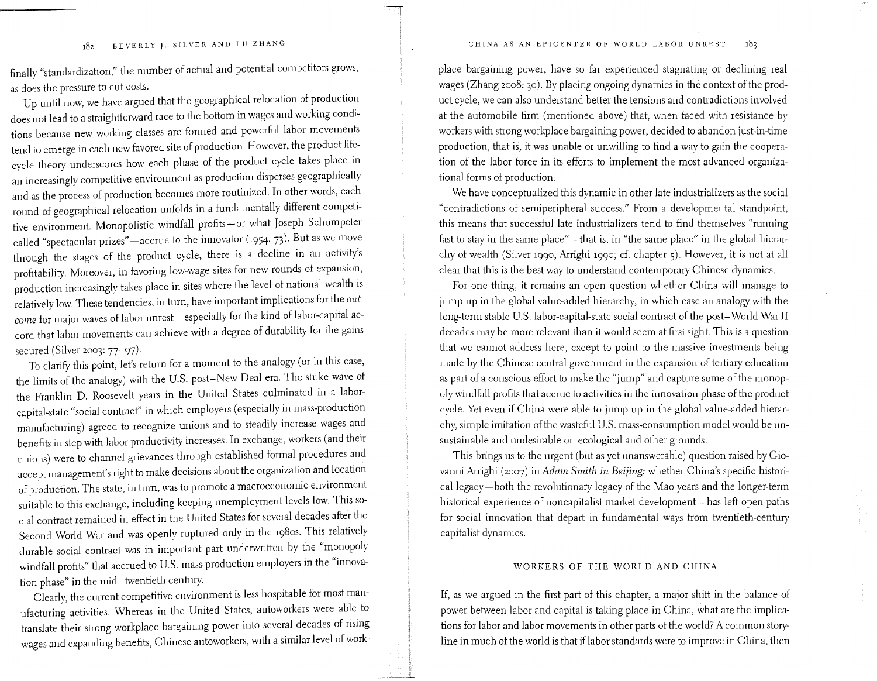#### BEVERLY J. SILVER AND LU ZHANG  $18z$

finally "standardization," the number of actual and potential competitors grows, as does the pressure to cut costs.

Up until now, we have argued that the geographical relocation of production does not lead to a straightforward race to the bottom in wages and working conditions because new working classes are formed and powerful labor movements tend to emerge in each new favored site of production. However, the product lifecycle theory underscores how each phase of the product cycle takes place in an increasingly competitive environment as production disperses geographically and as the process of production becomes more routinized. In other words, each round of geographical relocation unfolds in a fundamentally different competitive environment. Monopolistic windfall profits-or what Joseph Schumpeter called "spectacular prizes" - accrue to the innovator (1954: 73). But as we move through the stages of the product cycle, there is a decline in an activity's profitability. Moreover, in favoring low-wage sites for new rounds of expansion, production increasingly takes place in sites where the level of national wealth is relatively low. These tendencies, in turn, have important implications for the *out*come for major waves of labor unrest-especially for the kind of labor-capital accord that labor movements can achieve with a degree of durability for the gains secured (Silver 2003: 77-97).

To clarify this point, let's return for a moment to the analogy (or in this case, the limits of the analogy) with the U.S. post-New Deal era. The strike wave of the Franklin D. Roosevelt years in the United States culminated in a laborcapital-state "social contract" in which employers (especially in mass-production manufacturing) agreed to recognize unions and to steadily increase wages and benefits in step with labor productivity increases. In exchange, workers (and their unions) were to channel grievances through established formal procedures and accept management's right to make decisions about the organization and location of production. The state, in turn, was to promote a macroeconomic environment suitable to this exchange, including keeping unemployment levels low. This social contract remained in effect in the United States for several decades after the Second World War and was openly ruptured only in the i98os. This relatively durable social contract was in important part underwritten by the "monopoly windfall profits" that accrued to U.S. mass-production employers in the "innovation phase" in the mid-twentieth century.

Clearly, the current competitive environment is less hospitable for most manufacturing activities. Whereas in the United States, autoworkers were able to translate their strong workplace bargaining power into several decades of rising wages and expanding benefits, Chinese autoworkers, with a similar level of work-

#### CHINA AS AN EPICENTER OF WORLD LABOR UNREST  $18<sub>3</sub>$

place bargaining power, have so far experienced stagnating or declining real wages (Zhang 2008: 30). By placing ongoing dynamics in the context of the product cycle, we can also understand better the tensions and contradictions involved at the automobile firm (mentioned above) that, when faced with resistance by workers with strong workplace bargaining power, decided to abandon just-in-time production, that is, it was unable or unwilling to find a way to gain the cooperation of the labor force in its efforts to implement the most advanced organizational forms of production.

We have conceptualized this dynamic in other late industrializers as the social "contradictions of semiperipheral success." From a developmental standpoint, this means that successful late industrializers tend to find themselves "running fast to stay in the same place"-that is, in "the same place" in the global hierarchy of wealth (Silver i990; Arrighi i990; cf. chapter 5). However, it is not at all clear that this is the best way to understand contemporary Chinese dynamics.

For one thing, it remains an open question whether China will manage to jump up in the global value-added hierarchy, in which case an analogy with the long-term stable U.S. labor-capital-state social contract of the post-World War II decades may be more relevant than it would seem at first sight. This is a question that we cannot address here, except to point to the massive investments being made by the Chinese central government in the expansion of tertiary education as part of a conscious effort to make the "jump" and capture some of the monopoly windfall profits that accrue to activities in the innovation phase of the product cycle. Yet even if China were able to jump up in the global value-added hierarchy, simple imitation of the wasteful U.S. mass-consumption model would be unsustainable and undesirable on ecological and other grounds.

This brings us to the urgent (but as yet unanswerable) question raised by Giovanni Arrighi (2007) in *Adam Smith in Beijing:* whether China's specific historical legacy-both the revolutionary legacy of the Mao years and the longer-term historical experience of noncapitalist market development-has left open paths for social innovation that depart in fundamental ways from twentieth-century capitalist dynamics.

# WORKERS OF THE WORLD AND CHINA

If, as we argued in the first part of this chapter, a major shift in the balance of power between labor and capital is taking place in China, what are the implications for labor and labor movements in other parts of the world? A common storyline in much of the world is that iflabor standards were to improve in China, then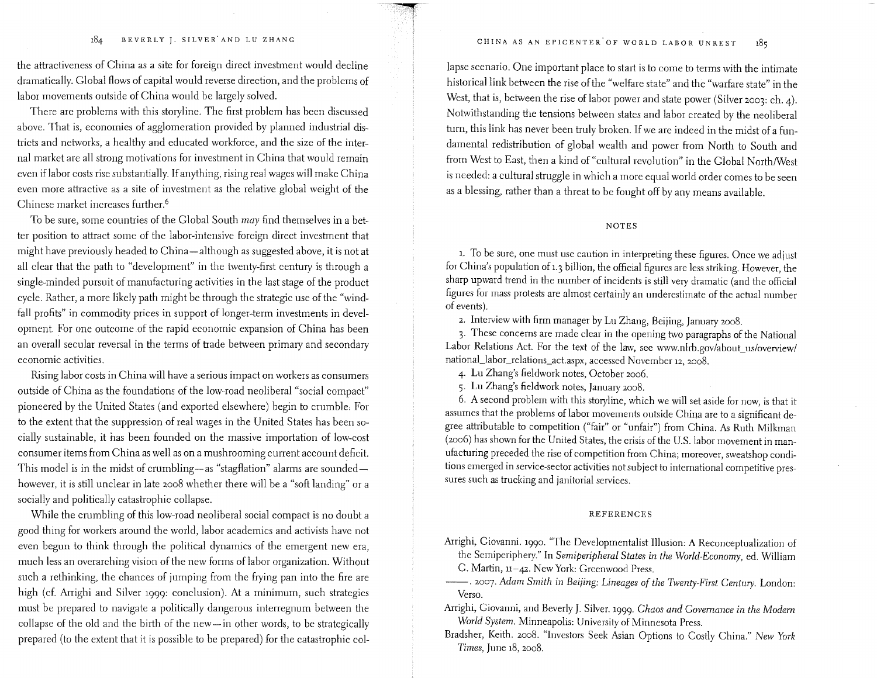#### CHINA AS AN EPICENTER OF WORLD LABOR UNREST  $185$

#### 184 BEVERLY J. SILVER AND LU ZHANG

the attractiveness of China as a site for foreign direct investment would decline dramatically. Global flows of capital would reverse direction, and the problems of labor movements outside of China would be largely solved.

There are problems with this storyline. The first problem has been discussed above. That is, economies of agglomeration provided by planned industrial districts and networks, a healthy and educated workforce, and the size of the internal market are all strong motivations for investment in China that would remain even iflabor costs rise substantially. If anything, rising real wages will make China even more attractive as a site of investment as the relative global weight of the Chinese market increases further. 6

To be sure, some countries of the Global South *may* find themselves in a better position to attract some of the labor-intensive foreign direct investment that might have previously headed to China-although as suggested above, it is not at all clear that the path to "development" in the twenty-first century is through a single-minded pursuit of manufacturing activities in the last stage of the product cycle. Rather, a more likely path might be through the strategic use of the "windfall profits" in commodity prices in support of longer-term investments in development. For one outcome of the rapid economic expansion of China has been an overall secular reversal in the terms of trade between primary and secondary economic activities.

Rising labor costs in China will have a serious impact on workers as consumers outside of China as the foundations of the low-road neoliberal "social compact" pioneered by the United States (and exported elsewhere) begin to crumble, For to the extent that the suppression of real wages in the United States has been socially sustainable, it has been founded on the massive importation of low-cost consumer items from China as well as on a mushrooming current account deficit. This model is in the midst of crumbling-as "stagflation" alarms are soundedhowever, it is still unclear in late 2008 whether there will be a "soft landing" or a socially and politically catastrophic collapse.

While the crumbling of this low-road neoliberal social compact is no doubt a good thing for workers around the world, labor academics and activists have not even begun to think through the political dynamics of the emergent new era, much less an overarching vision of the new forms oflabor organization. Without such a rethinking, the chances of jumping from the frying pan into the fire are high (cf. Arrighi and Silver i999: conclusion). At a minimum, such strategies must be prepared to navigate a politically dangerous interregnum between the collapse of the old and the birth of the new-in other words, to be strategically prepared (to the extent that it is possible to be prepared) for the catastrophic col-

lapse scenario. One important place to start is to come to terms with the intimate historical link between the rise of the "welfare state" and the "warfare state" in the West, that is, between the rise of labor power and state power (Silver 2003: ch. 4). Notwithstanding the tensions between states and labor created by the neoliberal turn, this link has never been truly broken. If we are indeed in the midst of a fundamental redistribution of global wealth and power from North to South and from West to East, then a kind of "cultural revolution" in the Global North/West is needed: a cultural struggle in which a more equal world order comes to be seen as a blessing, rather than a threat to be fought off by any means available.

### NOTES

1. To be sure, one must use caution in interpreting these figures. Once we adjust for China's population of 1.3 billion, the official figures are less striking. However, the sharp upward trend in the number of incidents is still very dramatic (and the official figures for mass protests are almost certainly an underestimate of the actual number of events).

2. Interview with firm manager by Lu Zhang, Beijing, January 2008.

3. These concerns are made clear in the opening two paragraphs of the National Labor Relations Act. For the text of the law, see www.nlrb.gov/about\_us/overview/ national\_labor\_relations\_act.aspx, accessed November i2, 2008.

4. Lu Zhang's fieldwork notes, October 2006.

5. Lu Zhang's fieldwork notes, January 2008.

6. A second problem with this storyline, which we will set aside for now, is that it assumes that the problems of labor movements outside China are to a significant degree attributable to competition ("fair" or "unfair") from China. As Ruth Milkman (2006) has shown for the United States, the crisis of the U.S. labor movement in manufacturing preceded the rise of competition from China; moreover, sweatshop conditions emerged in service-sector activities not subject to international competitive pressures such as trucking and janitorial services.

### REFERENCES

- Arrighi, Giovanni. i990. "The Developmentalist Illusion: A Reconceptualization of the Semiperiphery." In *Semiperipheral States in the World-Economy,* ed. William G. Martin, 11-42. New York: Greenwood Press.
- -- 2007. Adam Smith in Beijing: Lineages of the Twenty-First Century. London: Verso.
- Arrighi, Giovanni, and Beverly J. Silver. i999. *Chaos and Governance in the Modem World System.* Minneapolis: University of Minnesota Press.
- Bradsher, Keith. 2008. "Investors Seek Asian Options to Costly China." *New York Times,* June i8, 2008.